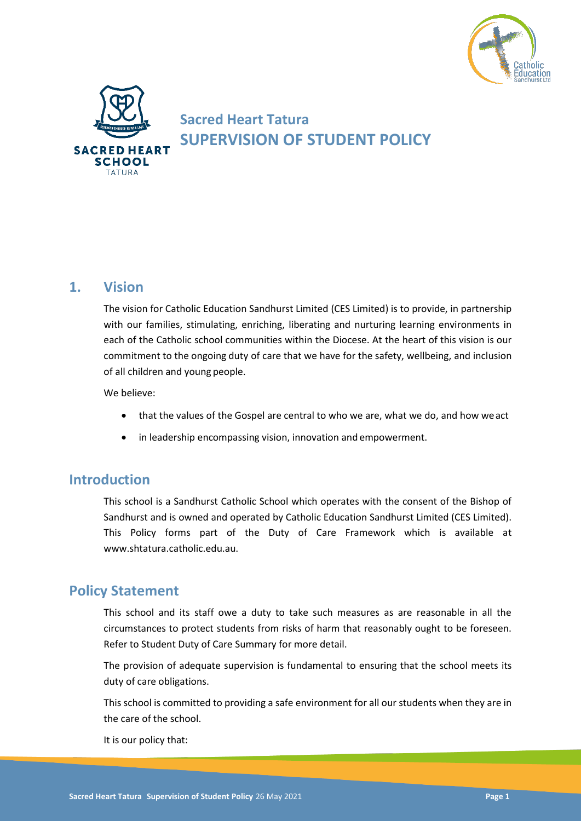



# **Sacred Heart Tatura SUPERVISION OF STUDENT POLICY**

# **1. Vision**

The vision for Catholic Education Sandhurst Limited (CES Limited) is to provide, in partnership with our families, stimulating, enriching, liberating and nurturing learning environments in each of the Catholic school communities within the Diocese. At the heart of this vision is our commitment to the ongoing duty of care that we have for the safety, wellbeing, and inclusion of all children and young people.

We believe:

- that the values of the Gospel are central to who we are, what we do, and how weact
- in leadership encompassing vision, innovation and empowerment.

### **Introduction**

This school is a Sandhurst Catholic School which operates with the consent of the Bishop of Sandhurst and is owned and operated by Catholic Education Sandhurst Limited (CES Limited). This Policy forms part of the Duty of Care Framework which is available at www.shtatura.catholic.edu.au.

# **Policy Statement**

This school and its staff owe a duty to take such measures as are reasonable in all the circumstances to protect students from risks of harm that reasonably ought to be foreseen. Refer to Student Duty of Care Summary for more detail.

The provision of adequate supervision is fundamental to ensuring that the school meets its duty of care obligations.

This school is committed to providing a safe environment for all our students when they are in the care of the school.

It is our policy that: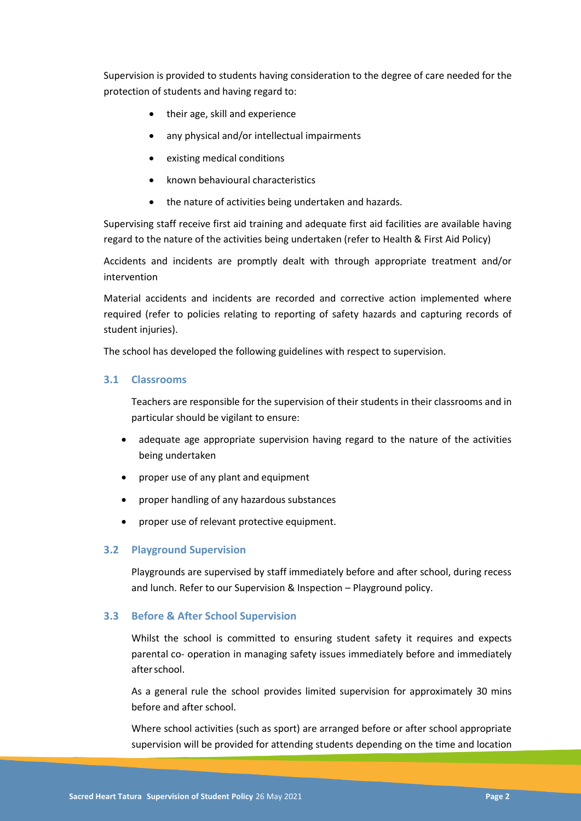Supervision is provided to students having consideration to the degree of care needed for the protection of students and having regard to:

- their age, skill and experience
- any physical and/or intellectual impairments
- existing medical conditions
- known behavioural characteristics
- the nature of activities being undertaken and hazards.

Supervising staff receive first aid training and adequate first aid facilities are available having regard to the nature of the activities being undertaken (refer to Health & First Aid Policy)

Accidents and incidents are promptly dealt with through appropriate treatment and/or intervention

Material accidents and incidents are recorded and corrective action implemented where required (refer to policies relating to reporting of safety hazards and capturing records of student injuries).

The school has developed the following guidelines with respect to supervision.

#### **3.1 Classrooms**

Teachers are responsible for the supervision of their students in their classrooms and in particular should be vigilant to ensure:

- adequate age appropriate supervision having regard to the nature of the activities being undertaken
- proper use of any plant and equipment
- proper handling of any hazardous substances
- proper use of relevant protective equipment.

#### **3.2 Playground Supervision**

Playgrounds are supervised by staff immediately before and after school, during recess and lunch. Refer to our Supervision & Inspection – Playground policy.

#### **3.3 Before & After School Supervision**

Whilst the school is committed to ensuring student safety it requires and expects parental co- operation in managing safety issues immediately before and immediately afterschool.

As a general rule the school provides limited supervision for approximately 30 mins before and after school.

Where school activities (such as sport) are arranged before or after school appropriate supervision will be provided for attending students depending on the time and location